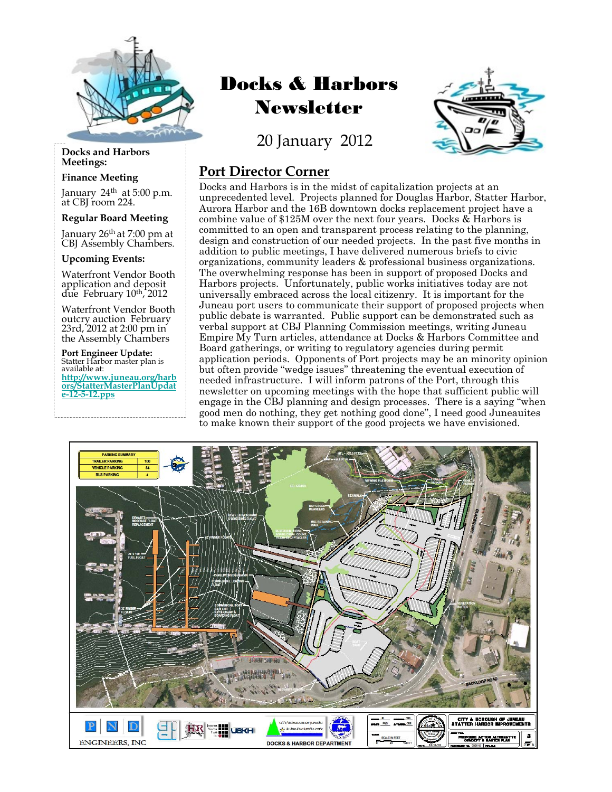

#### **Docks and Harbors Meetings:**

#### **Finance Meeting**

January 24<sup>th</sup> at 5:00 p.m.<br>at CBJ room 224.

#### **Regular Board Meeting**

January 26<sup>th</sup> at 7:00 pm at<br>CBJ Assembly Chambers.

#### **Upcoming Events:**

Waterfront Vendor Booth application and deposit due February 10th, 2012

Waterfront Vendor Booth outcry auction February 23rd, 2012 at 2:00 pm in the Assembly Chambers

**Port Engineer Update:**  Statter Harbor master plan is<br>available at: **http://www.juneau.org/harb ors/StatterMasterPlanUpdat [e-12-5-12.pps](http://www.juneau.org/harbors/StatterMasterPlanUpdate-12-5-12.pps)**

# Docks & Harbors Newsletter

20 January 2012



### **Port Director Corner**

Docks and Harbors is in the midst of capitalization projects at an unprecedented level. Projects planned for Douglas Harbor, Statter Harbor, Aurora Harbor and the 16B downtown docks replacement project have a combine value of \$125M over the next four years. Docks & Harbors is committed to an open and transparent process relating to the planning, design and construction of our needed projects. In the past five months in addition to public meetings, I have delivered numerous briefs to civic organizations, community leaders & professional business organizations. The overwhelming response has been in support of proposed Docks and Harbors projects. Unfortunately, public works initiatives today are not universally embraced across the local citizenry. It is important for the Juneau port users to communicate their support of proposed projects when public debate is warranted. Public support can be demonstrated such as verbal support at CBJ Planning Commission meetings, writing Juneau Empire My Turn articles, attendance at Docks & Harbors Committee and Board gatherings, or writing to regulatory agencies during permit application periods. Opponents of Port projects may be an minority opinion but often provide "wedge issues" threatening the eventual execution of needed infrastructure. I will inform patrons of the Port, through this newsletter on upcoming meetings with the hope that sufficient public will engage in the CBJ planning and design processes. There is a saying "when good men do nothing, they get nothing good done", I need good Juneauites to make known their support of the good projects we have envisioned.